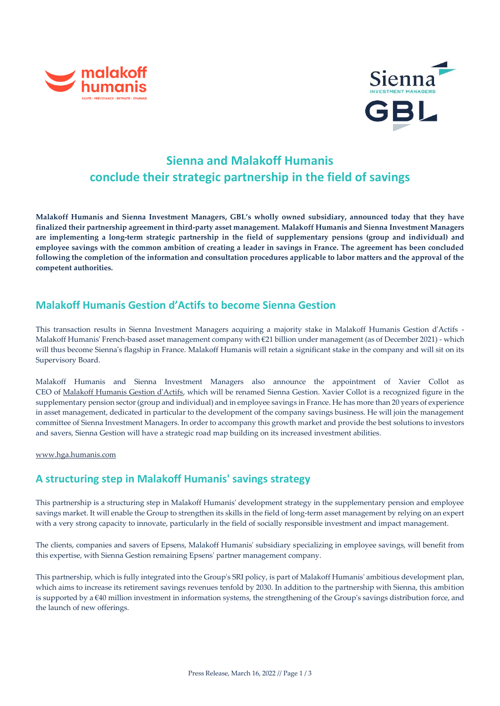



# **Sienna and Malakoff Humanis conclude their strategic partnership in the field of savings**

**Malakoff Humanis and Sienna Investment Managers, GBL's wholly owned subsidiary, announced today that they have finalized their partnership agreement in third-party asset management. Malakoff Humanis and Sienna Investment Managers are implementing a long-term strategic partnership in the field of supplementary pensions (group and individual) and employee savings with the common ambition of creating a leader in savings in France. The agreement has been concluded following the completion of the information and consultation procedures applicable to labor matters and the approval of the competent authorities.**

## **Malakoff Humanis Gestion d'Actifs to become Sienna Gestion**

This transaction results in Sienna Investment Managers acquiring a majority stake in Malakoff Humanis Gestion d'Actifs - Malakoff Humanis' French-based asset management company with €21 billion under management (as of December 2021) - which will thus become Sienna's flagship in France. Malakoff Humanis will retain a significant stake in the company and will sit on its Supervisory Board.

Malakoff Humanis and Sienna Investment Managers also announce the appointment of Xavier Collot as CEO of [Malakoff Humanis Gestion d'Actifs,](https://hga.humanis.com/) which will be renamed Sienna Gestion. Xavier Collot is a recognized figure in the supplementary pension sector (group and individual) and in employee savings in France. He has more than 20 years of experience in asset management, dedicated in particular to the development of the company savings business. He will join the management committee of Sienna Investment Managers. In order to accompany this growth market and provide the best solutions to investors and savers, Sienna Gestion will have a strategic road map building on its increased investment abilities.

[www.hga.humanis.com](http://www.hga.humanis.com/)

## **A structuring step in Malakoff Humanis' savings strategy**

This partnership is a structuring step in Malakoff Humanis' development strategy in the supplementary pension and employee savings market. It will enable the Group to strengthen its skills in the field of long-term asset management by relying on an expert with a very strong capacity to innovate, particularly in the field of socially responsible investment and impact management.

The clients, companies and savers of Epsens, Malakoff Humanis' subsidiary specializing in employee savings, will benefit from this expertise, with Sienna Gestion remaining Epsens' partner management company.

This partnership, which is fully integrated into the Group's SRI policy, is part of Malakoff Humanis' ambitious development plan, which aims to increase its retirement savings revenues tenfold by 2030. In addition to the partnership with Sienna, this ambition is supported by a €40 million investment in information systems, the strengthening of the Group's savings distribution force, and the launch of new offerings.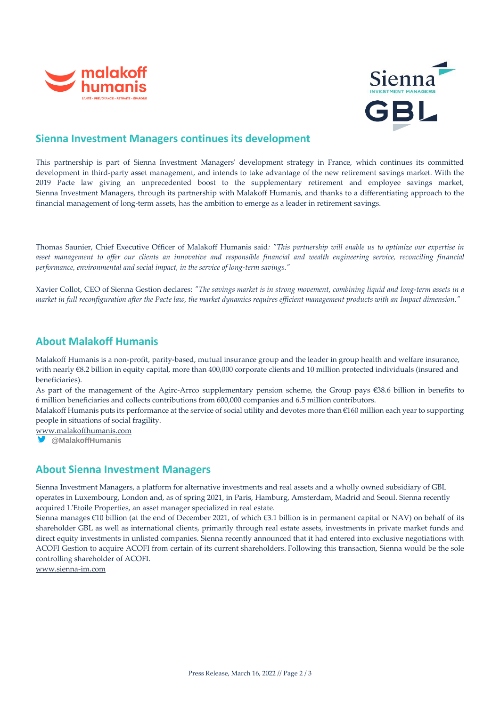



#### **Sienna Investment Managers continues its development**

This partnership is part of Sienna Investment Managers' development strategy in France, which continues its committed development in third-party asset management, and intends to take advantage of the new retirement savings market. With the 2019 Pacte law giving an unprecedented boost to the supplementary retirement and employee savings market, Sienna Investment Managers, through its partnership with Malakoff Humanis, and thanks to a differentiating approach to the financial management of long-term assets, has the ambition to emerge as a leader in retirement savings.

Thomas Saunier, Chief Executive Officer of Malakoff Humanis said*: "This partnership will enable us to optimize our expertise in asset management to offer our clients an innovative and responsible financial and wealth engineering service, reconciling financial performance, environmental and social impact, in the service of long-term savings."*

Xavier Collot, CEO of Sienna Gestion declares: *"The savings market is in strong movement, combining liquid and long-term assets in a market in full reconfiguration after the Pacte law, the market dynamics requires efficient management products with an Impact dimension."*

#### **About Malakoff Humanis**

Malakoff Humanis is a non-profit, parity-based, mutual insurance group and the leader in group health and welfare insurance, with nearly  $€8.2$  billion in equity capital, more than 400,000 corporate clients and 10 million protected individuals (insured and beneficiaries).

As part of the management of the Agirc-Arrco supplementary pension scheme, the Group pays €38.6 billion in benefits to 6 million beneficiaries and collects contributions from 600,000 companies and 6.5 million contributors.

Malakoff Humanis puts its performance at the service of social utility and devotes more than €160 million each year to supporting people in situations of social fragility.

[www.malakoffhumanis.com](https://protect-eu.mimecast.com/s/P_e_C86JKuY3QKs1BmFN?domain=malakoffhumanis.com)

**@MalakoffHumanis**

#### **About Sienna Investment Managers**

Sienna Investment Managers, a platform for alternative investments and real assets and a wholly owned subsidiary of GBL operates in Luxembourg, London and, as of spring 2021, in Paris, Hamburg, Amsterdam, Madrid and Seoul. Sienna recently acquired L'Etoile Properties, an asset manager specialized in real estate.

Sienna manages €10 billion (at the end of December 2021, of which €3.1 billion is in permanent capital or NAV) on behalf of its shareholder GBL as well as international clients, primarily through real estate assets, investments in private market funds and direct equity investments in unlisted companies. Sienna recently announced that it had entered into exclusive negotiations with ACOFI Gestion to acquire ACOFI from certain of its current shareholders. Following this transaction, Sienna would be the sole controlling shareholder of ACOFI.

[www.sienna-im.com](http://www.sienna-im.com/)